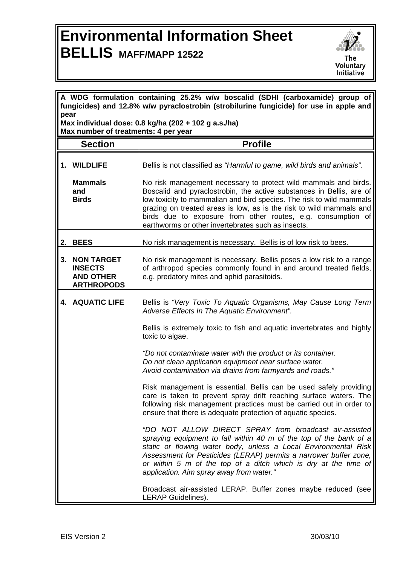## **Environmental Information Sheet BELLIS MAFF/MAPP 12522**



| A WDG formulation containing 25.2% w/w boscalid (SDHI (carboxamide) group of<br>fungicides) and 12.8% w/w pyraclostrobin (strobilurine fungicide) for use in apple and |                                                                              |                                                                                                                                                                                                                                                                                                                                                                                                              |  |
|------------------------------------------------------------------------------------------------------------------------------------------------------------------------|------------------------------------------------------------------------------|--------------------------------------------------------------------------------------------------------------------------------------------------------------------------------------------------------------------------------------------------------------------------------------------------------------------------------------------------------------------------------------------------------------|--|
| pear<br>Max individual dose: 0.8 kg/ha (202 + 102 g a.s./ha)<br>Max number of treatments: 4 per year                                                                   |                                                                              |                                                                                                                                                                                                                                                                                                                                                                                                              |  |
|                                                                                                                                                                        | <b>Section</b>                                                               | <b>Profile</b>                                                                                                                                                                                                                                                                                                                                                                                               |  |
|                                                                                                                                                                        | 1. WILDLIFE                                                                  | Bellis is not classified as "Harmful to game, wild birds and animals".                                                                                                                                                                                                                                                                                                                                       |  |
|                                                                                                                                                                        | <b>Mammals</b><br>and<br><b>Birds</b>                                        | No risk management necessary to protect wild mammals and birds.<br>Boscalid and pyraclostrobin, the active substances in Bellis, are of<br>low toxicity to mammalian and bird species. The risk to wild mammals<br>grazing on treated areas is low, as is the risk to wild mammals and<br>birds due to exposure from other routes, e.g. consumption of<br>earthworms or other invertebrates such as insects. |  |
|                                                                                                                                                                        | 2. BEES                                                                      | No risk management is necessary. Bellis is of low risk to bees.                                                                                                                                                                                                                                                                                                                                              |  |
| 3.                                                                                                                                                                     | <b>NON TARGET</b><br><b>INSECTS</b><br><b>AND OTHER</b><br><b>ARTHROPODS</b> | No risk management is necessary. Bellis poses a low risk to a range<br>of arthropod species commonly found in and around treated fields,<br>e.g. predatory mites and aphid parasitoids.                                                                                                                                                                                                                      |  |
|                                                                                                                                                                        | <b>4. AQUATIC LIFE</b>                                                       | Bellis is "Very Toxic To Aquatic Organisms, May Cause Long Term<br>Adverse Effects In The Aquatic Environment".                                                                                                                                                                                                                                                                                              |  |
|                                                                                                                                                                        |                                                                              | Bellis is extremely toxic to fish and aquatic invertebrates and highly<br>toxic to algae.                                                                                                                                                                                                                                                                                                                    |  |
|                                                                                                                                                                        |                                                                              | "Do not contaminate water with the product or its container.<br>Do not clean application equipment near surface water.<br>Avoid contamination via drains from farmyards and roads."                                                                                                                                                                                                                          |  |
|                                                                                                                                                                        |                                                                              | Risk management is essential. Bellis can be used safely providing<br>care is taken to prevent spray drift reaching surface waters. The<br>following risk management practices must be carried out in order to<br>ensure that there is adequate protection of aquatic species.                                                                                                                                |  |
|                                                                                                                                                                        |                                                                              | "DO NOT ALLOW DIRECT SPRAY from broadcast air-assisted<br>spraying equipment to fall within 40 m of the top of the bank of a<br>static or flowing water body, unless a Local Environmental Risk<br>Assessment for Pesticides (LERAP) permits a narrower buffer zone,<br>or within 5 m of the top of a ditch which is dry at the time of<br>application. Aim spray away from water."                          |  |
|                                                                                                                                                                        |                                                                              | Broadcast air-assisted LERAP. Buffer zones maybe reduced (see<br>LERAP Guidelines).                                                                                                                                                                                                                                                                                                                          |  |